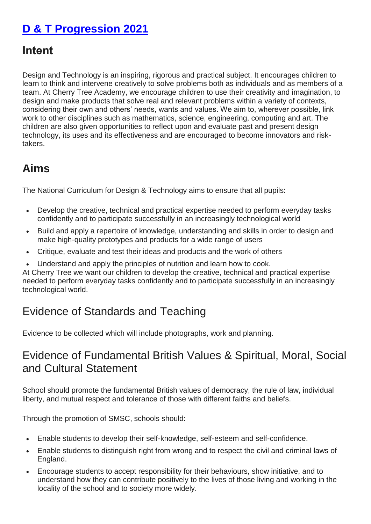# **D & T [Progression](https://www.cherrytreeacademy.org.uk/userfiles/files/documents/bcd6d4dc5c9b421da7e80a388c06faea.pdf) 2021**

#### **Intent**

Design and Technology is an inspiring, rigorous and practical subject. It encourages children to learn to think and intervene creatively to solve problems both as individuals and as members of a team. At Cherry Tree Academy, we encourage children to use their creativity and imagination, to design and make products that solve real and relevant problems within a variety of contexts, considering their own and others' needs, wants and values. We aim to, wherever possible, link work to other disciplines such as mathematics, science, engineering, computing and art. The children are also given opportunities to reflect upon and evaluate past and present design technology, its uses and its effectiveness and are encouraged to become innovators and risktakers.

## **Aims**

The National Curriculum for Design & Technology aims to ensure that all pupils:

- Develop the creative, technical and practical expertise needed to perform everyday tasks confidently and to participate successfully in an increasingly technological world
- Build and apply a repertoire of knowledge, understanding and skills in order to design and make high-quality prototypes and products for a wide range of users
- Critique, evaluate and test their ideas and products and the work of others
- Understand and apply the principles of nutrition and learn how to cook.

At Cherry Tree we want our children to develop the creative, technical and practical expertise needed to perform everyday tasks confidently and to participate successfully in an increasingly technological world.

### Evidence of Standards and Teaching

Evidence to be collected which will include photographs, work and planning.

#### Evidence of Fundamental British Values & Spiritual, Moral, Social and Cultural Statement

School should promote the fundamental British values of democracy, the rule of law, individual liberty, and mutual respect and tolerance of those with different faiths and beliefs.

Through the promotion of SMSC, schools should:

- Enable students to develop their self-knowledge, self-esteem and self-confidence.
- Enable students to distinguish right from wrong and to respect the civil and criminal laws of England.
- Encourage students to accept responsibility for their behaviours, show initiative, and to understand how they can contribute positively to the lives of those living and working in the locality of the school and to society more widely.